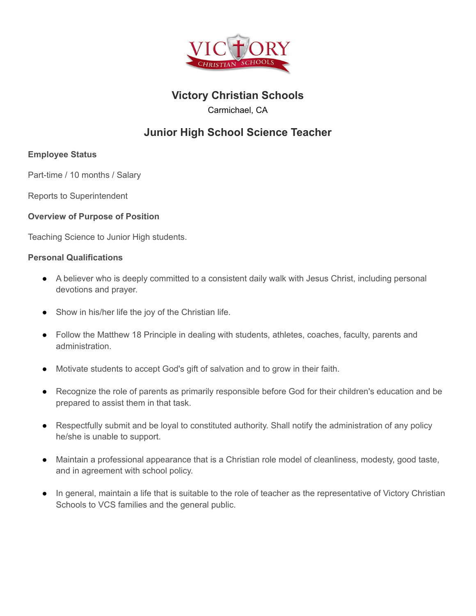

# **Victory Christian Schools**

Carmichael, CA

# **Junior High School Science Teacher**

## **Employee Status**

Part-time / 10 months / Salary

Reports to Superintendent

### **Overview of Purpose of Position**

Teaching Science to Junior High students.

#### **Personal Qualifications**

- A believer who is deeply committed to a consistent daily walk with Jesus Christ, including personal devotions and prayer.
- Show in his/her life the joy of the Christian life.
- Follow the Matthew 18 Principle in dealing with students, athletes, coaches, faculty, parents and administration.
- Motivate students to accept God's gift of salvation and to grow in their faith.
- Recognize the role of parents as primarily responsible before God for their children's education and be prepared to assist them in that task.
- Respectfully submit and be loyal to constituted authority. Shall notify the administration of any policy he/she is unable to support.
- Maintain a professional appearance that is a Christian role model of cleanliness, modesty, good taste, and in agreement with school policy.
- In general, maintain a life that is suitable to the role of teacher as the representative of Victory Christian Schools to VCS families and the general public.